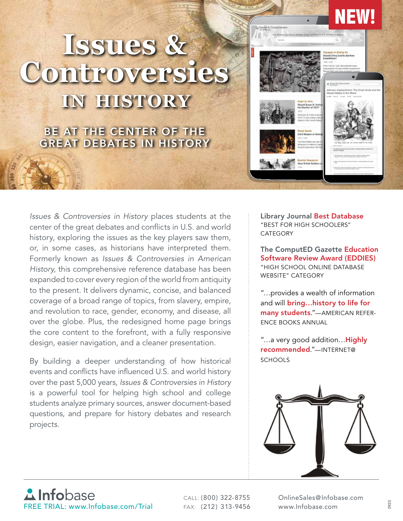



*Issues & Controversies in History* places students at the center of the great debates and conflicts in U.S. and world history, exploring the issues as the key players saw them, or, in some cases, as historians have interpreted them. Formerly known as *Issues & Controversies in American History*, this comprehensive reference database has been expanded to cover every region of the world from antiquity to the present. It delivers dynamic, concise, and balanced coverage of a broad range of topics, from slavery, empire, and revolution to race, gender, economy, and disease, all over the globe. Plus, the redesigned home page brings the core content to the forefront, with a fully responsive design, easier navigation, and a cleaner presentation.

By building a deeper understanding of how historical events and conflicts have influenced U.S. and world history over the past 5,000 years, *Issues & Controversies in History* is a powerful tool for helping high school and college students analyze primary sources, answer document-based questions, and prepare for history debates and research projects.

Library Journal Best Database "BEST FOR HIGH SCHOOLERS" **CATEGORY** 

The ComputED Gazette Education Software Review Award (EDDIES) "HIGH SCHOOL ONLINE DATABASE WEBSITE" CATEGORY

"…provides a wealth of information and will bring...history to life for many students."—AMERICAN REFER-ENCE BOOKS ANNUAL

"...a very good addition... **Highly** recommended."—INTERNET@ **SCHOOLS** 



## **A**Infobase FREE TRIAL: www.Infobase.com/Trial FAX: (212) 313-9456 www.Infobase.com

CALL: (800) 322-8755 OnlineSales@Infobase.com